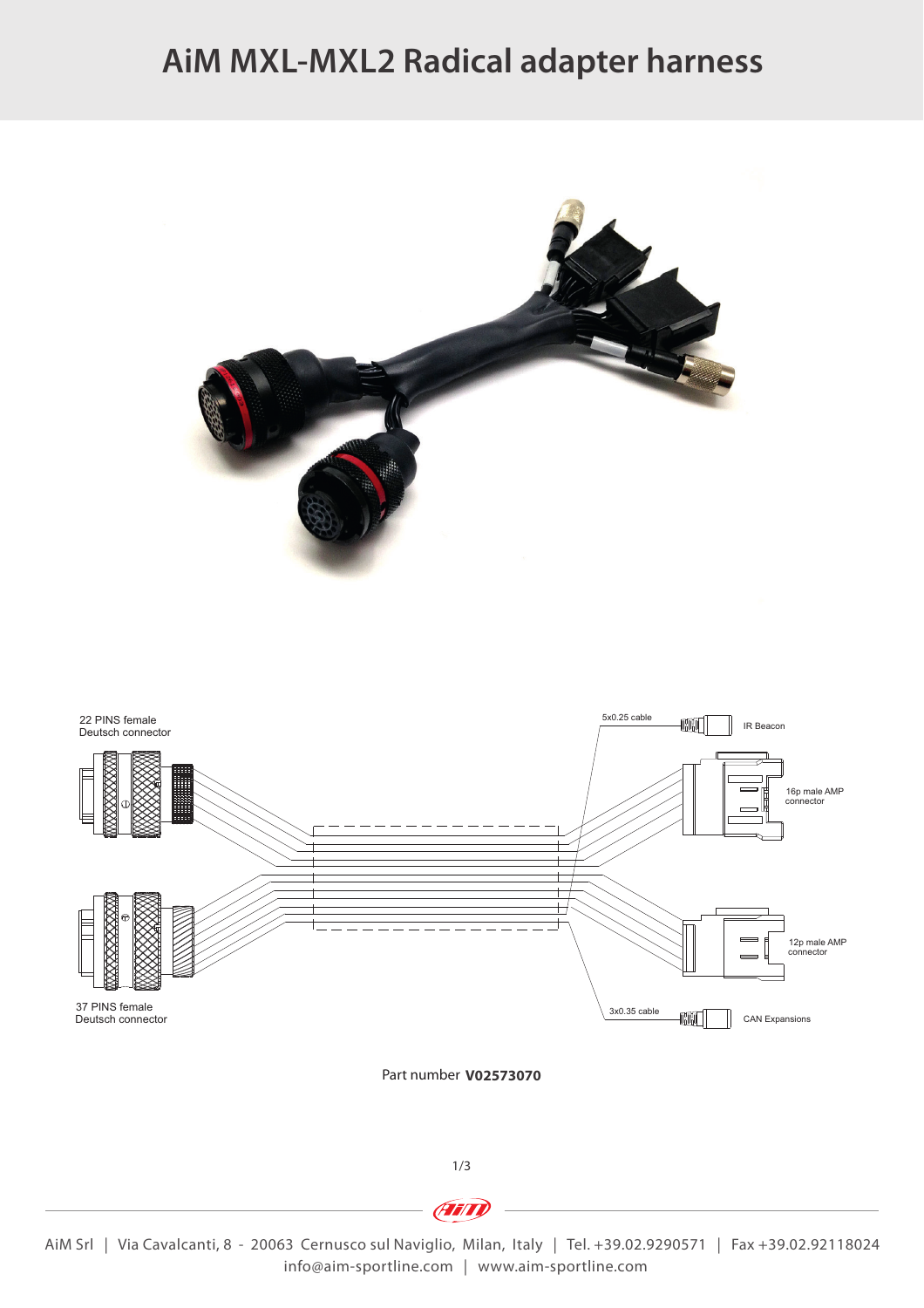## **AiM MXL-MXL2 Radical adapter harness**





Part number **V02573070**

1/3

AiM Srl | Via Cavalcanti, 8 - 20063 Cernusco sul Naviglio, Milan, Italy | Tel. +39.02.9290571 | Fax +39.02.92118024 info@aim-sportline.com | www.aim-sportline.com

**Frind**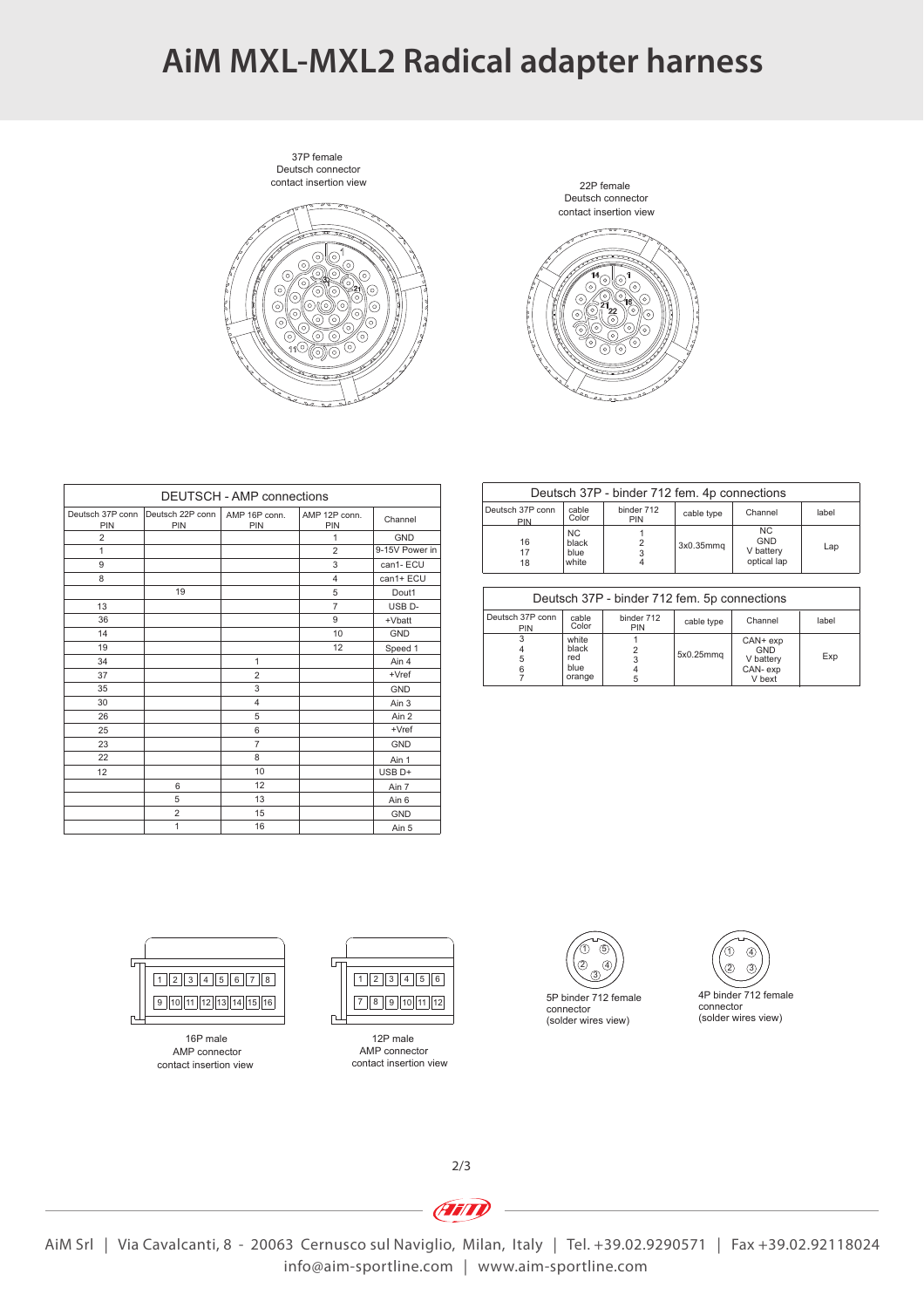### **AiM MXL-MXL2 Radical adapter harness**

Deutsch connector 37P female





| DEUTSCH - AMP connections |                         |                      |                      |                    |  |  |  |
|---------------------------|-------------------------|----------------------|----------------------|--------------------|--|--|--|
| Deutsch 37P conn<br>PIN   | Deutsch 22P conn<br>PIN | AMP 16P conn.<br>PIN | AMP 12P conn.<br>PIN | Channel            |  |  |  |
| $\overline{2}$            |                         |                      | 1                    | <b>GND</b>         |  |  |  |
| $\mathbf{1}$              |                         |                      | $\overline{2}$       | 9-15V Power in     |  |  |  |
| 9                         |                         |                      | 3                    | can1-ECU           |  |  |  |
| 8                         |                         |                      | $\overline{4}$       | can1+ ECU          |  |  |  |
|                           | 19                      |                      | 5                    | Dout1              |  |  |  |
| 13                        |                         |                      | $\overline{7}$       | USB <sub>D</sub> - |  |  |  |
| 36                        |                         |                      | 9                    | +Vbatt             |  |  |  |
| 14                        |                         |                      | 10                   | <b>GND</b>         |  |  |  |
| 19                        |                         |                      | 12                   | Speed 1            |  |  |  |
| 34                        |                         | $\mathbf{1}$         |                      | Ain 4              |  |  |  |
| 37                        |                         | $\overline{2}$       |                      | $+Vref$            |  |  |  |
| 35                        |                         | 3                    |                      | <b>GND</b>         |  |  |  |
| 30                        |                         | 4                    |                      | Ain 3              |  |  |  |
| 26                        |                         | 5                    |                      | Ain 2              |  |  |  |
| 25                        |                         | 6                    |                      | $+Vref$            |  |  |  |
| 23                        |                         | $\overline{7}$       |                      | <b>GND</b>         |  |  |  |
| 22                        |                         | 8                    |                      | Ain 1              |  |  |  |
| 12                        |                         | 10                   |                      | USB <sub>D+</sub>  |  |  |  |
|                           | 6                       | 12                   |                      | Ain 7              |  |  |  |
|                           | 5                       | 13                   |                      | Ain 6              |  |  |  |
|                           | $\overline{2}$          | 15                   |                      | <b>GND</b>         |  |  |  |
|                           | 1                       | 16                   |                      | Ain 5              |  |  |  |

| Deutsch 37P - binder 712 fem. 4p connections |                                          |                   |                       |                                               |       |  |  |  |
|----------------------------------------------|------------------------------------------|-------------------|-----------------------|-----------------------------------------------|-------|--|--|--|
| Deutsch 37P conn<br>PIN                      | cable<br>Color                           | binder 712<br>PIN | cable type            | Channel                                       | label |  |  |  |
| 16<br>17<br>18                               | N <sub>C</sub><br>black<br>blue<br>white |                   | 3x0.35mm <sub>q</sub> | NC.<br><b>GND</b><br>V battery<br>optical lap | Lap   |  |  |  |
|                                              |                                          |                   |                       |                                               |       |  |  |  |
| Deutsch 37P - binder 712 fem. 5p connections |                                          |                   |                       |                                               |       |  |  |  |
| Deutsch 37P conn                             | cable                                    | binder 712        | cable type            | Channel                                       | lahel |  |  |  |

| ----------<br>$5.1001 + 12.1011$ . $9.90111000$ . |                                         |                          |            |                                                   |       |  |
|---------------------------------------------------|-----------------------------------------|--------------------------|------------|---------------------------------------------------|-------|--|
| Deutsch 37P conn<br><b>PIN</b>                    | cable<br>Color                          | binder 712<br><b>PIN</b> | cable type | Channel                                           | label |  |
|                                                   | white<br>black<br>red<br>blue<br>orange | 5                        | 5x0.25mmq  | CAN+ exp<br>GND<br>V battery<br>CAN-exp<br>V bext | Exp   |  |





contact insertion view AMP connector 16P male

 $\Box$ 



contact insertion view AMP connector 12P male





2/3

**Ain** 

AiM Srl | Via Cavalcanti, 8 - 20063 Cernusco sul Naviglio, Milan, Italy | Tel. +39.02.9290571 | Fax +39.02.92118024 info@aim-sportline.com | www.aim-sportline.com